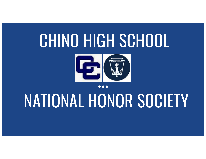# CHINO HIGH SCHOOL



# NATIONAL HONOR SOCIETY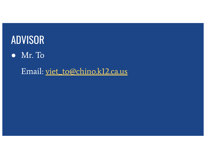

● Mr. To

Email: viet\_to@chino.k12.ca.us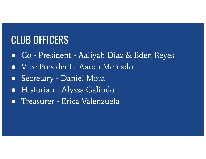### CLUB OFFICERS

- Co President Aaliyah Diaz & Eden Reyes
- Vice President Aaron Mercado
- Secretary Daniel Mora
- Historian Alyssa Galindo
- Treasurer Erica Valenzuela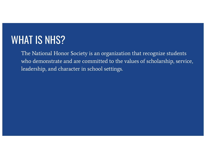#### WHAT IS NHS?

The National Honor Society is an organization that recognize students who demonstrate and are committed to the values of scholarship, service, leadership, and character in school settings.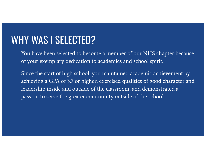#### WHY WAS I SELECTED?

You have been selected to become a member of our NHS chapter because of your exemplary dedication to academics and school spirit.

Since the start of high school, you maintained academic achievement by achieving a GPA of 3.7 or higher, exercised qualities of good character and leadership inside and outside of the classroom, and demonstrated a passion to serve the greater community outside of the school.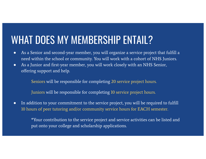## WHAT DOES MY MEMBERSHIP ENTAIL?

- As a Senior and second-year member, you will organize a service project that fulfill a need within the school or community. You will work with a cohort of NHS Juniors.
- As a Junior and first-year member, you will work closely with an NHS Senior, offering support and help.

Seniors will be responsible for completing 20 service project hours.

Juniors will be responsible for completing 10 service project hours.

● In addition to your commitment to the service project, you will be required to fulfill 10 hours of peer tutoring and/or community service hours for EACH semester.

> \*Your contribution to the service project and service activities can be listed and put onto your college and scholarship applications.